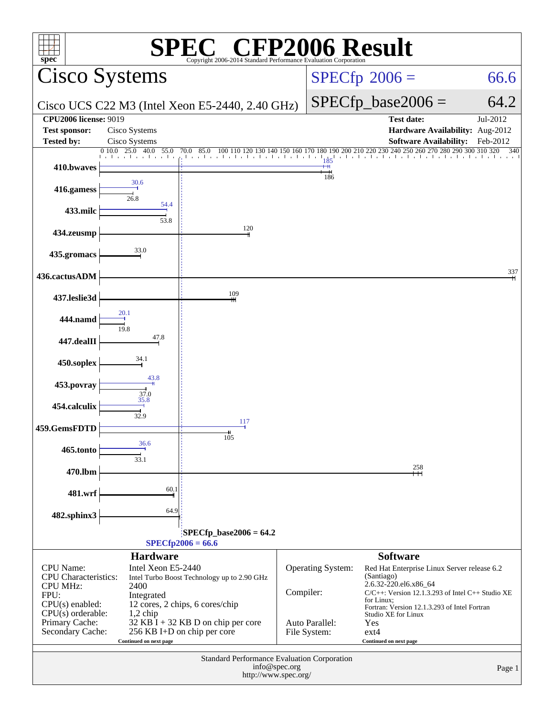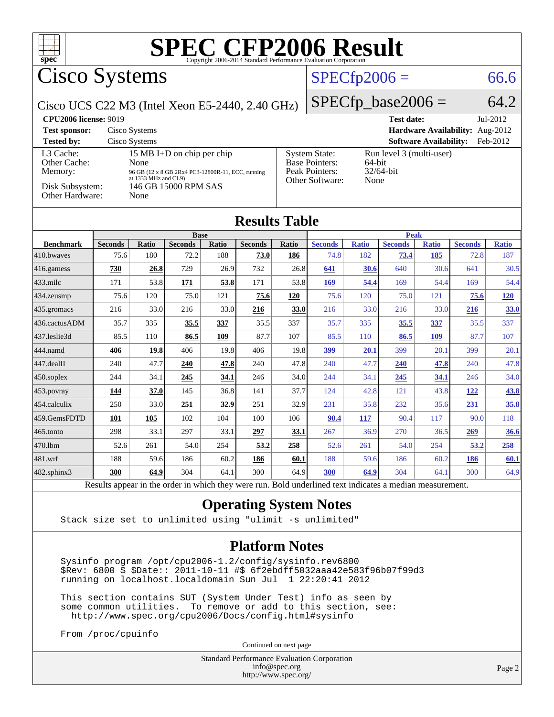

#### **[Operating System Notes](http://www.spec.org/auto/cpu2006/Docs/result-fields.html#OperatingSystemNotes)**

Stack size set to unlimited using "ulimit -s unlimited"

#### **[Platform Notes](http://www.spec.org/auto/cpu2006/Docs/result-fields.html#PlatformNotes)**

 Sysinfo program /opt/cpu2006-1.2/config/sysinfo.rev6800 \$Rev: 6800 \$ \$Date:: 2011-10-11 #\$ 6f2ebdff5032aaa42e583f96b07f99d3 running on localhost.localdomain Sun Jul 1 22:20:41 2012

 This section contains SUT (System Under Test) info as seen by some common utilities. To remove or add to this section, see: <http://www.spec.org/cpu2006/Docs/config.html#sysinfo>

From /proc/cpuinfo

Continued on next page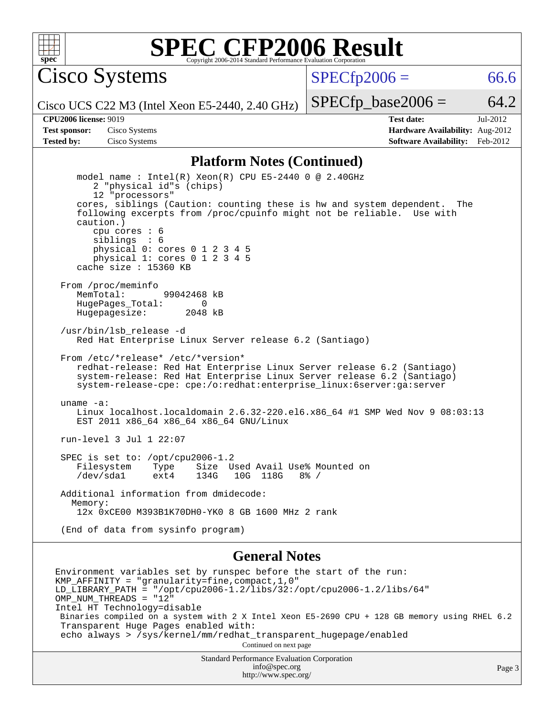

Cisco Systems

 $SPECTp2006 = 66.6$ 

Cisco UCS C22 M3 (Intel Xeon E5-2440, 2.40 GHz)

 $SPECTp\_base2006 = 64.2$ 

**[CPU2006 license:](http://www.spec.org/auto/cpu2006/Docs/result-fields.html#CPU2006license)** 9019 **[Test date:](http://www.spec.org/auto/cpu2006/Docs/result-fields.html#Testdate)** Jul-2012 **[Test sponsor:](http://www.spec.org/auto/cpu2006/Docs/result-fields.html#Testsponsor)** Cisco Systems **[Hardware Availability:](http://www.spec.org/auto/cpu2006/Docs/result-fields.html#HardwareAvailability)** Aug-2012 **[Tested by:](http://www.spec.org/auto/cpu2006/Docs/result-fields.html#Testedby)** Cisco Systems **[Software Availability:](http://www.spec.org/auto/cpu2006/Docs/result-fields.html#SoftwareAvailability)** Feb-2012

#### **[Platform Notes \(Continued\)](http://www.spec.org/auto/cpu2006/Docs/result-fields.html#PlatformNotes)**

 model name : Intel(R) Xeon(R) CPU E5-2440 0 @ 2.40GHz 2 "physical id"s (chips) 12 "processors" cores, siblings (Caution: counting these is hw and system dependent. The following excerpts from /proc/cpuinfo might not be reliable. Use with caution.) cpu cores : 6 siblings : 6 physical 0: cores 0 1 2 3 4 5 physical 1: cores 0 1 2 3 4 5 cache size : 15360 KB From /proc/meminfo MemTotal: 99042468 kB HugePages\_Total: 0<br>Hugepagesize: 2048 kB Hugepagesize: /usr/bin/lsb\_release -d Red Hat Enterprise Linux Server release 6.2 (Santiago) From /etc/\*release\* /etc/\*version\* redhat-release: Red Hat Enterprise Linux Server release 6.2 (Santiago) system-release: Red Hat Enterprise Linux Server release 6.2 (Santiago) system-release-cpe: cpe:/o:redhat:enterprise\_linux:6server:ga:server uname -a: Linux localhost.localdomain 2.6.32-220.el6.x86\_64 #1 SMP Wed Nov 9 08:03:13 EST 2011 x86\_64 x86\_64 x86\_64 GNU/Linux run-level 3 Jul 1 22:07 SPEC is set to: /opt/cpu2006-1.2 Filesystem Type Size Used Avail Use% Mounted on<br>
/dev/sdal ext4 134G 10G 118G 8% /  $/\text{dev/sdal}$  ext4 134G 10G 118G Additional information from dmidecode: Memory: 12x 0xCE00 M393B1K70DH0-YK0 8 GB 1600 MHz 2 rank (End of data from sysinfo program)

#### **[General Notes](http://www.spec.org/auto/cpu2006/Docs/result-fields.html#GeneralNotes)**

Environment variables set by runspec before the start of the run: KMP\_AFFINITY = "granularity=fine,compact,1,0" LD\_LIBRARY\_PATH = "/opt/cpu2006-1.2/libs/32:/opt/cpu2006-1.2/libs/64" OMP\_NUM\_THREADS = "12" Intel HT Technology=disable Binaries compiled on a system with 2 X Intel Xeon E5-2690 CPU + 128 GB memory using RHEL 6.2 Transparent Huge Pages enabled with: echo always > /sys/kernel/mm/redhat\_transparent\_hugepage/enabled Continued on next page

Standard Performance Evaluation Corporation [info@spec.org](mailto:info@spec.org) <http://www.spec.org/>

Page 3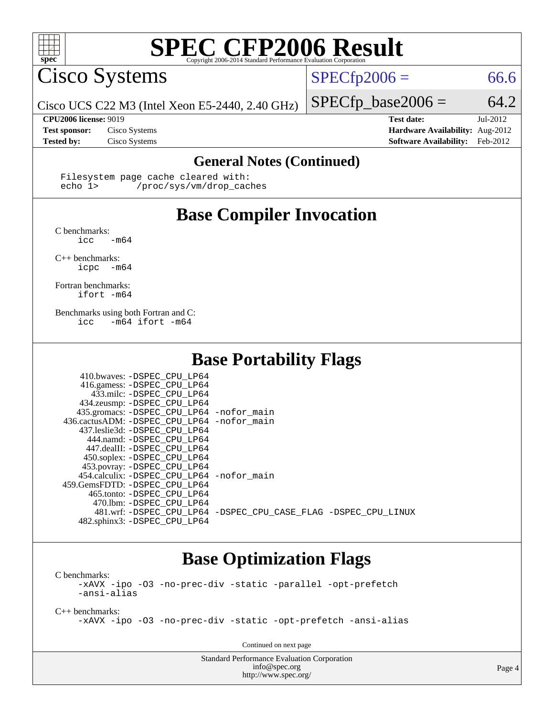

Cisco Systems

 $SPECfp2006 = 66.6$  $SPECfp2006 = 66.6$ 

Cisco UCS C22 M3 (Intel Xeon E5-2440, 2.40 GHz)

**[Tested by:](http://www.spec.org/auto/cpu2006/Docs/result-fields.html#Testedby)** Cisco Systems **[Software Availability:](http://www.spec.org/auto/cpu2006/Docs/result-fields.html#SoftwareAvailability)** Feb-2012

 $SPECfp\_base2006 = 64.2$ **[CPU2006 license:](http://www.spec.org/auto/cpu2006/Docs/result-fields.html#CPU2006license)** 9019 **[Test date:](http://www.spec.org/auto/cpu2006/Docs/result-fields.html#Testdate)** Jul-2012 **[Test sponsor:](http://www.spec.org/auto/cpu2006/Docs/result-fields.html#Testsponsor)** Cisco Systems **[Hardware Availability:](http://www.spec.org/auto/cpu2006/Docs/result-fields.html#HardwareAvailability)** Aug-2012

#### **[General Notes \(Continued\)](http://www.spec.org/auto/cpu2006/Docs/result-fields.html#GeneralNotes)**

Filesystem page cache cleared with:<br>echo 1> /proc/sys/ym/drop cac /proc/sys/vm/drop\_caches

## **[Base Compiler Invocation](http://www.spec.org/auto/cpu2006/Docs/result-fields.html#BaseCompilerInvocation)**

[C benchmarks](http://www.spec.org/auto/cpu2006/Docs/result-fields.html#Cbenchmarks):  $\text{icc}$  -m64

[C++ benchmarks:](http://www.spec.org/auto/cpu2006/Docs/result-fields.html#CXXbenchmarks)

[icpc -m64](http://www.spec.org/cpu2006/results/res2012q3/cpu2006-20120823-24300.flags.html#user_CXXbase_intel_icpc_64bit_bedb90c1146cab66620883ef4f41a67e)

[Fortran benchmarks](http://www.spec.org/auto/cpu2006/Docs/result-fields.html#Fortranbenchmarks): [ifort -m64](http://www.spec.org/cpu2006/results/res2012q3/cpu2006-20120823-24300.flags.html#user_FCbase_intel_ifort_64bit_ee9d0fb25645d0210d97eb0527dcc06e)

[Benchmarks using both Fortran and C](http://www.spec.org/auto/cpu2006/Docs/result-fields.html#BenchmarksusingbothFortranandC): [icc -m64](http://www.spec.org/cpu2006/results/res2012q3/cpu2006-20120823-24300.flags.html#user_CC_FCbase_intel_icc_64bit_0b7121f5ab7cfabee23d88897260401c) [ifort -m64](http://www.spec.org/cpu2006/results/res2012q3/cpu2006-20120823-24300.flags.html#user_CC_FCbase_intel_ifort_64bit_ee9d0fb25645d0210d97eb0527dcc06e)

### **[Base Portability Flags](http://www.spec.org/auto/cpu2006/Docs/result-fields.html#BasePortabilityFlags)**

| 410.bwaves: -DSPEC CPU LP64                 |                                                                |
|---------------------------------------------|----------------------------------------------------------------|
| 416.gamess: -DSPEC_CPU_LP64                 |                                                                |
| 433.milc: -DSPEC CPU LP64                   |                                                                |
| 434.zeusmp: -DSPEC_CPU_LP64                 |                                                                |
| 435.gromacs: -DSPEC_CPU_LP64 -nofor_main    |                                                                |
| 436.cactusADM: -DSPEC_CPU_LP64 -nofor main  |                                                                |
| 437.leslie3d: -DSPEC CPU LP64               |                                                                |
| 444.namd: -DSPEC CPU LP64                   |                                                                |
| 447.dealII: -DSPEC CPU LP64                 |                                                                |
| 450.soplex: -DSPEC CPU LP64                 |                                                                |
| 453.povray: -DSPEC_CPU_LP64                 |                                                                |
| 454.calculix: - DSPEC CPU LP64 - nofor main |                                                                |
| 459. GemsFDTD: - DSPEC CPU LP64             |                                                                |
| 465.tonto: -DSPEC CPU LP64                  |                                                                |
| 470.1bm: - DSPEC CPU LP64                   |                                                                |
|                                             | 481.wrf: -DSPEC CPU_LP64 -DSPEC_CPU_CASE_FLAG -DSPEC_CPU_LINUX |
| 482.sphinx3: -DSPEC_CPU_LP64                |                                                                |

### **[Base Optimization Flags](http://www.spec.org/auto/cpu2006/Docs/result-fields.html#BaseOptimizationFlags)**

[C benchmarks](http://www.spec.org/auto/cpu2006/Docs/result-fields.html#Cbenchmarks): [-xAVX](http://www.spec.org/cpu2006/results/res2012q3/cpu2006-20120823-24300.flags.html#user_CCbase_f-xAVX) [-ipo](http://www.spec.org/cpu2006/results/res2012q3/cpu2006-20120823-24300.flags.html#user_CCbase_f-ipo) [-O3](http://www.spec.org/cpu2006/results/res2012q3/cpu2006-20120823-24300.flags.html#user_CCbase_f-O3) [-no-prec-div](http://www.spec.org/cpu2006/results/res2012q3/cpu2006-20120823-24300.flags.html#user_CCbase_f-no-prec-div) [-static](http://www.spec.org/cpu2006/results/res2012q3/cpu2006-20120823-24300.flags.html#user_CCbase_f-static) [-parallel](http://www.spec.org/cpu2006/results/res2012q3/cpu2006-20120823-24300.flags.html#user_CCbase_f-parallel) [-opt-prefetch](http://www.spec.org/cpu2006/results/res2012q3/cpu2006-20120823-24300.flags.html#user_CCbase_f-opt-prefetch) [-ansi-alias](http://www.spec.org/cpu2006/results/res2012q3/cpu2006-20120823-24300.flags.html#user_CCbase_f-ansi-alias)

[C++ benchmarks:](http://www.spec.org/auto/cpu2006/Docs/result-fields.html#CXXbenchmarks) [-xAVX](http://www.spec.org/cpu2006/results/res2012q3/cpu2006-20120823-24300.flags.html#user_CXXbase_f-xAVX) [-ipo](http://www.spec.org/cpu2006/results/res2012q3/cpu2006-20120823-24300.flags.html#user_CXXbase_f-ipo) [-O3](http://www.spec.org/cpu2006/results/res2012q3/cpu2006-20120823-24300.flags.html#user_CXXbase_f-O3) [-no-prec-div](http://www.spec.org/cpu2006/results/res2012q3/cpu2006-20120823-24300.flags.html#user_CXXbase_f-no-prec-div) [-static](http://www.spec.org/cpu2006/results/res2012q3/cpu2006-20120823-24300.flags.html#user_CXXbase_f-static) [-opt-prefetch](http://www.spec.org/cpu2006/results/res2012q3/cpu2006-20120823-24300.flags.html#user_CXXbase_f-opt-prefetch) [-ansi-alias](http://www.spec.org/cpu2006/results/res2012q3/cpu2006-20120823-24300.flags.html#user_CXXbase_f-ansi-alias)

Continued on next page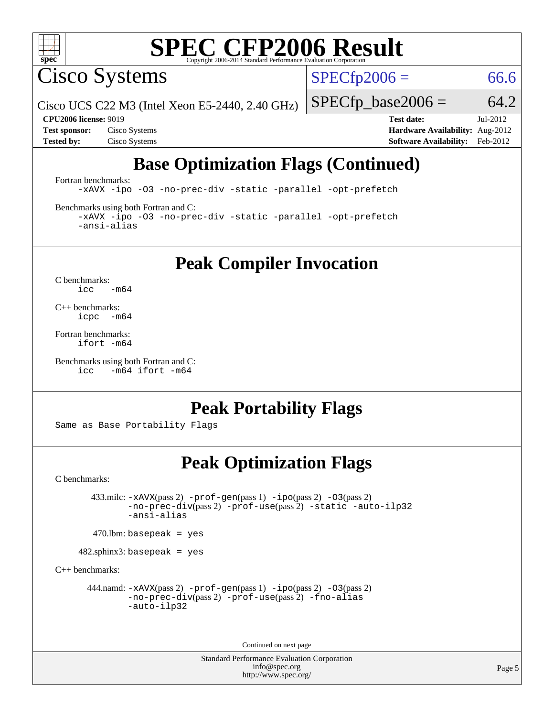

Cisco Systems

 $SPECTp2006 = 66.6$ 

Cisco UCS C22 M3 (Intel Xeon E5-2440, 2.40 GHz)

 $SPECfp\_base2006 = 64.2$ 

**[CPU2006 license:](http://www.spec.org/auto/cpu2006/Docs/result-fields.html#CPU2006license)** 9019 **[Test date:](http://www.spec.org/auto/cpu2006/Docs/result-fields.html#Testdate)** Jul-2012 **[Test sponsor:](http://www.spec.org/auto/cpu2006/Docs/result-fields.html#Testsponsor)** Cisco Systems **[Hardware Availability:](http://www.spec.org/auto/cpu2006/Docs/result-fields.html#HardwareAvailability)** Aug-2012 **[Tested by:](http://www.spec.org/auto/cpu2006/Docs/result-fields.html#Testedby)** Cisco Systems **[Software Availability:](http://www.spec.org/auto/cpu2006/Docs/result-fields.html#SoftwareAvailability)** Feb-2012

## **[Base Optimization Flags \(Continued\)](http://www.spec.org/auto/cpu2006/Docs/result-fields.html#BaseOptimizationFlags)**

[Fortran benchmarks](http://www.spec.org/auto/cpu2006/Docs/result-fields.html#Fortranbenchmarks): [-xAVX](http://www.spec.org/cpu2006/results/res2012q3/cpu2006-20120823-24300.flags.html#user_FCbase_f-xAVX) [-ipo](http://www.spec.org/cpu2006/results/res2012q3/cpu2006-20120823-24300.flags.html#user_FCbase_f-ipo) [-O3](http://www.spec.org/cpu2006/results/res2012q3/cpu2006-20120823-24300.flags.html#user_FCbase_f-O3) [-no-prec-div](http://www.spec.org/cpu2006/results/res2012q3/cpu2006-20120823-24300.flags.html#user_FCbase_f-no-prec-div) [-static](http://www.spec.org/cpu2006/results/res2012q3/cpu2006-20120823-24300.flags.html#user_FCbase_f-static) [-parallel](http://www.spec.org/cpu2006/results/res2012q3/cpu2006-20120823-24300.flags.html#user_FCbase_f-parallel) [-opt-prefetch](http://www.spec.org/cpu2006/results/res2012q3/cpu2006-20120823-24300.flags.html#user_FCbase_f-opt-prefetch)

[Benchmarks using both Fortran and C](http://www.spec.org/auto/cpu2006/Docs/result-fields.html#BenchmarksusingbothFortranandC):

[-xAVX](http://www.spec.org/cpu2006/results/res2012q3/cpu2006-20120823-24300.flags.html#user_CC_FCbase_f-xAVX) [-ipo](http://www.spec.org/cpu2006/results/res2012q3/cpu2006-20120823-24300.flags.html#user_CC_FCbase_f-ipo) [-O3](http://www.spec.org/cpu2006/results/res2012q3/cpu2006-20120823-24300.flags.html#user_CC_FCbase_f-O3) [-no-prec-div](http://www.spec.org/cpu2006/results/res2012q3/cpu2006-20120823-24300.flags.html#user_CC_FCbase_f-no-prec-div) [-static](http://www.spec.org/cpu2006/results/res2012q3/cpu2006-20120823-24300.flags.html#user_CC_FCbase_f-static) [-parallel](http://www.spec.org/cpu2006/results/res2012q3/cpu2006-20120823-24300.flags.html#user_CC_FCbase_f-parallel) [-opt-prefetch](http://www.spec.org/cpu2006/results/res2012q3/cpu2006-20120823-24300.flags.html#user_CC_FCbase_f-opt-prefetch) [-ansi-alias](http://www.spec.org/cpu2006/results/res2012q3/cpu2006-20120823-24300.flags.html#user_CC_FCbase_f-ansi-alias)

**[Peak Compiler Invocation](http://www.spec.org/auto/cpu2006/Docs/result-fields.html#PeakCompilerInvocation)**

[C benchmarks](http://www.spec.org/auto/cpu2006/Docs/result-fields.html#Cbenchmarks):  $\text{icc}$  -m64

[C++ benchmarks:](http://www.spec.org/auto/cpu2006/Docs/result-fields.html#CXXbenchmarks) [icpc -m64](http://www.spec.org/cpu2006/results/res2012q3/cpu2006-20120823-24300.flags.html#user_CXXpeak_intel_icpc_64bit_bedb90c1146cab66620883ef4f41a67e)

[Fortran benchmarks](http://www.spec.org/auto/cpu2006/Docs/result-fields.html#Fortranbenchmarks): [ifort -m64](http://www.spec.org/cpu2006/results/res2012q3/cpu2006-20120823-24300.flags.html#user_FCpeak_intel_ifort_64bit_ee9d0fb25645d0210d97eb0527dcc06e)

```
Benchmarks using both Fortran and C: 
     icc -m64 ifort -m64
```
### **[Peak Portability Flags](http://www.spec.org/auto/cpu2006/Docs/result-fields.html#PeakPortabilityFlags)**

Same as Base Portability Flags

### **[Peak Optimization Flags](http://www.spec.org/auto/cpu2006/Docs/result-fields.html#PeakOptimizationFlags)**

[C benchmarks](http://www.spec.org/auto/cpu2006/Docs/result-fields.html#Cbenchmarks):

 433.milc: [-xAVX](http://www.spec.org/cpu2006/results/res2012q3/cpu2006-20120823-24300.flags.html#user_peakPASS2_CFLAGSPASS2_LDFLAGS433_milc_f-xAVX)(pass 2) [-prof-gen](http://www.spec.org/cpu2006/results/res2012q3/cpu2006-20120823-24300.flags.html#user_peakPASS1_CFLAGSPASS1_LDFLAGS433_milc_prof_gen_e43856698f6ca7b7e442dfd80e94a8fc)(pass 1) [-ipo](http://www.spec.org/cpu2006/results/res2012q3/cpu2006-20120823-24300.flags.html#user_peakPASS2_CFLAGSPASS2_LDFLAGS433_milc_f-ipo)(pass 2) [-O3](http://www.spec.org/cpu2006/results/res2012q3/cpu2006-20120823-24300.flags.html#user_peakPASS2_CFLAGSPASS2_LDFLAGS433_milc_f-O3)(pass 2) [-no-prec-div](http://www.spec.org/cpu2006/results/res2012q3/cpu2006-20120823-24300.flags.html#user_peakPASS2_CFLAGSPASS2_LDFLAGS433_milc_f-no-prec-div)(pass 2) [-prof-use](http://www.spec.org/cpu2006/results/res2012q3/cpu2006-20120823-24300.flags.html#user_peakPASS2_CFLAGSPASS2_LDFLAGS433_milc_prof_use_bccf7792157ff70d64e32fe3e1250b55)(pass 2) [-static](http://www.spec.org/cpu2006/results/res2012q3/cpu2006-20120823-24300.flags.html#user_peakOPTIMIZE433_milc_f-static) [-auto-ilp32](http://www.spec.org/cpu2006/results/res2012q3/cpu2006-20120823-24300.flags.html#user_peakCOPTIMIZE433_milc_f-auto-ilp32) [-ansi-alias](http://www.spec.org/cpu2006/results/res2012q3/cpu2006-20120823-24300.flags.html#user_peakCOPTIMIZE433_milc_f-ansi-alias)

 $470$ .lbm: basepeak = yes

482.sphinx3: basepeak = yes

[C++ benchmarks:](http://www.spec.org/auto/cpu2006/Docs/result-fields.html#CXXbenchmarks)

444.namd:  $-x$ AVX(pass 2)  $-p$ rof-gen(pass 1)  $-p$ po(pass 2)  $-03$ (pass 2) [-no-prec-div](http://www.spec.org/cpu2006/results/res2012q3/cpu2006-20120823-24300.flags.html#user_peakPASS2_CXXFLAGSPASS2_LDFLAGS444_namd_f-no-prec-div)(pass 2) [-prof-use](http://www.spec.org/cpu2006/results/res2012q3/cpu2006-20120823-24300.flags.html#user_peakPASS2_CXXFLAGSPASS2_LDFLAGS444_namd_prof_use_bccf7792157ff70d64e32fe3e1250b55)(pass 2) [-fno-alias](http://www.spec.org/cpu2006/results/res2012q3/cpu2006-20120823-24300.flags.html#user_peakCXXOPTIMIZEOPTIMIZE444_namd_f-no-alias_694e77f6c5a51e658e82ccff53a9e63a) [-auto-ilp32](http://www.spec.org/cpu2006/results/res2012q3/cpu2006-20120823-24300.flags.html#user_peakCXXOPTIMIZE444_namd_f-auto-ilp32)

Continued on next page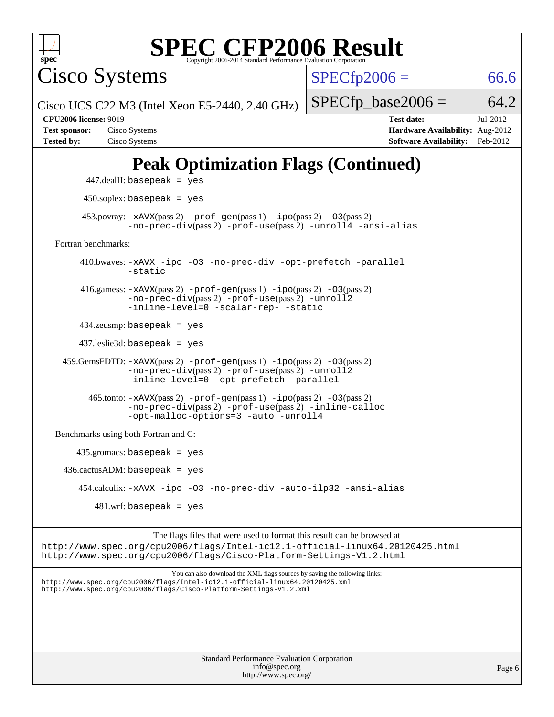

Cisco Systems

 $SPECfp2006 = 66.6$  $SPECfp2006 = 66.6$ 

Cisco UCS C22 M3 (Intel Xeon E5-2440, 2.40 GHz)

 $SPECTp\_base2006 = 64.2$ 

**[Tested by:](http://www.spec.org/auto/cpu2006/Docs/result-fields.html#Testedby)** Cisco Systems **[Software Availability:](http://www.spec.org/auto/cpu2006/Docs/result-fields.html#SoftwareAvailability)** Feb-2012

**[CPU2006 license:](http://www.spec.org/auto/cpu2006/Docs/result-fields.html#CPU2006license)** 9019 **[Test date:](http://www.spec.org/auto/cpu2006/Docs/result-fields.html#Testdate)** Jul-2012 **[Test sponsor:](http://www.spec.org/auto/cpu2006/Docs/result-fields.html#Testsponsor)** Cisco Systems **[Hardware Availability:](http://www.spec.org/auto/cpu2006/Docs/result-fields.html#HardwareAvailability)** Aug-2012

# **[Peak Optimization Flags \(Continued\)](http://www.spec.org/auto/cpu2006/Docs/result-fields.html#PeakOptimizationFlags)**

```
 447.dealII: basepeak = yes
       450.soplex: basepeak = yes
     453.povray: -xAVX(pass 2) -prof-gen(pass 1) -ipo(pass 2) -03(pass 2)
                -no-prec-div(pass 2) -prof-use(pass 2) -unroll4 -ansi-alias
Fortran benchmarks: 
      410.bwaves: -xAVX -ipo -O3 -no-prec-div -opt-prefetch -parallel
                -static
      416.gamess: -xAVX(pass 2) -prof-gen(pass 1) -ipo(pass 2) -O3(pass 2)
                -no-prec-div(pass 2) -prof-use(pass 2) -unroll2
                -inline-level=0 -scalar-rep- -static
      434.zeusmp: basepeak = yes
      437.leslie3d: basepeak = yes
  459.GemsFDTD: -xAVX(pass 2) -prof-gen(pass 1) -ipo(pass 2) -O3(pass 2)
               -no-prec-div(pass 2) -prof-use(pass 2) -unroll2
               -inline-level=0 -opt-prefetch -parallel
       465.tonto: -xAVX(pass 2) -prof-gen(pass 1) -po(pass 2) -03(pass 2)
                -no-prec-div(pass 2) -prof-use(pass 2) -inline-calloc
                -opt-malloc-options=3-auto-unroll4
Benchmarks using both Fortran and C: 
     435.gromacs: basepeak = yes
 436.cactusADM:basepeak = yes 454.calculix: -xAVX -ipo -O3 -no-prec-div -auto-ilp32 -ansi-alias
        481 \text{.m}: basepeak = yes
                     The flags files that were used to format this result can be browsed at
```
<http://www.spec.org/cpu2006/flags/Intel-ic12.1-official-linux64.20120425.html> <http://www.spec.org/cpu2006/flags/Cisco-Platform-Settings-V1.2.html>

You can also download the XML flags sources by saving the following links: <http://www.spec.org/cpu2006/flags/Intel-ic12.1-official-linux64.20120425.xml> <http://www.spec.org/cpu2006/flags/Cisco-Platform-Settings-V1.2.xml>